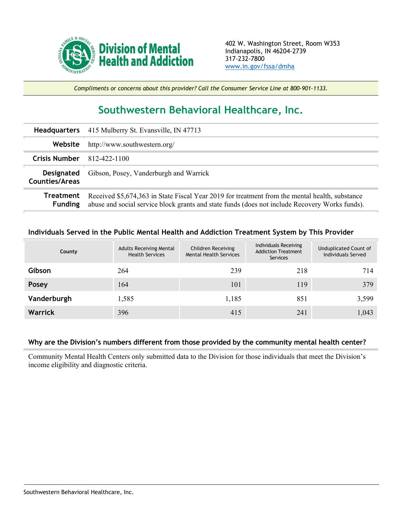

*Compliments or concerns about this provider? Call the Consumer Service Line at 800-901-1133.*

## **Southwestern Behavioral Healthcare, Inc.**

|                                     | Headquarters 415 Mulberry St. Evansville, IN 47713                                                                                                                                               |
|-------------------------------------|--------------------------------------------------------------------------------------------------------------------------------------------------------------------------------------------------|
| Website                             | http://www.southwestern.org/                                                                                                                                                                     |
| <b>Crisis Number</b>                | 812-422-1100                                                                                                                                                                                     |
| <b>Designated</b><br>Counties/Areas | Gibson, Posey, Vanderburgh and Warrick                                                                                                                                                           |
| Treatment<br><b>Funding</b>         | Received \$5,674,363 in State Fiscal Year 2019 for treatment from the mental health, substance<br>abuse and social service block grants and state funds (does not include Recovery Works funds). |

## **Individuals Served in the Public Mental Health and Addiction Treatment System by This Provider**

| County         | <b>Adults Receiving Mental</b><br><b>Health Services</b> | Children Receiving<br><b>Mental Health Services</b> | Individuals Receiving<br><b>Addiction Treatment</b><br>Services | Unduplicated Count of<br>Individuals Served |
|----------------|----------------------------------------------------------|-----------------------------------------------------|-----------------------------------------------------------------|---------------------------------------------|
| Gibson         | 264                                                      | 239                                                 | 218                                                             | 714                                         |
| Posey          | 164                                                      | 101                                                 | 119                                                             | 379                                         |
| Vanderburgh    | 1,585                                                    | 1,185                                               | 851                                                             | 3,599                                       |
| <b>Warrick</b> | 396                                                      | 415                                                 | 241                                                             | 1,043                                       |

## **Why are the Division's numbers different from those provided by the community mental health center?**

Community Mental Health Centers only submitted data to the Division for those individuals that meet the Division's income eligibility and diagnostic criteria.